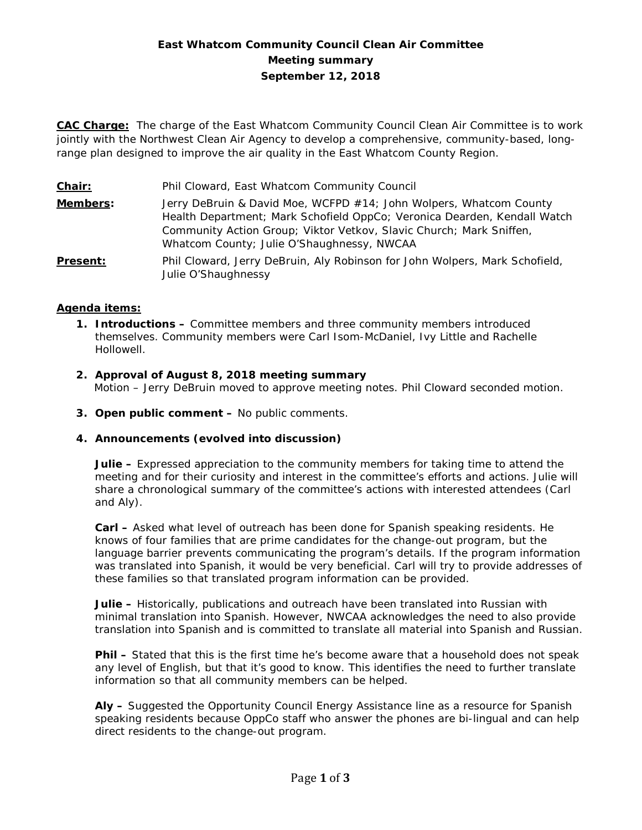# **East Whatcom Community Council Clean Air Committee Meeting summary September 12, 2018**

**CAC Charge:** The charge of the East Whatcom Community Council Clean Air Committee is to work jointly with the Northwest Clean Air Agency to develop a comprehensive, community-based, longrange plan designed to improve the air quality in the East Whatcom County Region.

| Chair:          | Phil Cloward, East Whatcom Community Council                                                                                                                                                                                                                        |
|-----------------|---------------------------------------------------------------------------------------------------------------------------------------------------------------------------------------------------------------------------------------------------------------------|
| <b>Members:</b> | Jerry DeBruin & David Moe, WCFPD #14; John Wolpers, Whatcom County<br>Health Department; Mark Schofield OppCo; Veronica Dearden, Kendall Watch<br>Community Action Group; Viktor Vetkov, Slavic Church; Mark Sniffen,<br>Whatcom County; Julie O'Shaughnessy, NWCAA |
| <b>Present:</b> | Phil Cloward, Jerry DeBruin, Aly Robinson for John Wolpers, Mark Schofield,<br>Julie O'Shaughnessy                                                                                                                                                                  |

### **Agenda items:**

- **1. Introductions –** Committee members and three community members introduced themselves. Community members were Carl Isom-McDaniel, Ivy Little and Rachelle Hollowell.
- **2. Approval of August 8, 2018 meeting summary** Motion – Jerry DeBruin moved to approve meeting notes. Phil Cloward seconded motion.
- **3. Open public comment –** No public comments.

### **4. Announcements (evolved into discussion)**

**Julie –** Expressed appreciation to the community members for taking time to attend the meeting and for their curiosity and interest in the committee's efforts and actions. Julie will share a chronological summary of the committee's actions with interested attendees (Carl and Aly).

**Carl –** Asked what level of outreach has been done for Spanish speaking residents. He knows of four families that are prime candidates for the change-out program, but the language barrier prevents communicating the program's details. If the program information was translated into Spanish, it would be very beneficial. Carl will try to provide addresses of these families so that translated program information can be provided.

**Julie –** Historically, publications and outreach have been translated into Russian with minimal translation into Spanish. However, NWCAA acknowledges the need to also provide translation into Spanish and is committed to translate all material into Spanish and Russian.

**Phil –** Stated that this is the first time he's become aware that a household does not speak any level of English, but that it's good to know. This identifies the need to further translate information so that all community members can be helped.

**Aly –** Suggested the Opportunity Council Energy Assistance line as a resource for Spanish speaking residents because OppCo staff who answer the phones are bi-lingual and can help direct residents to the change-out program.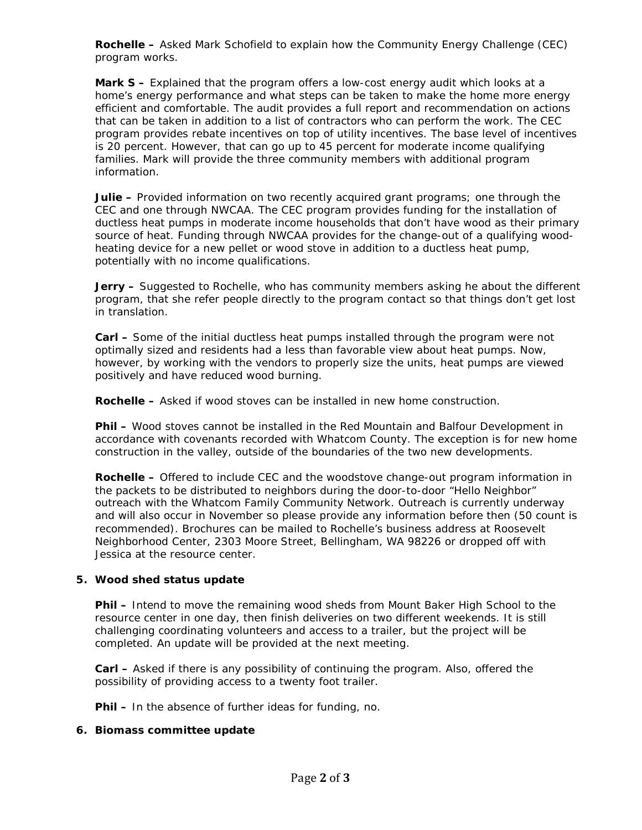**Rochelle –** Asked Mark Schofield to explain how the Community Energy Challenge (CEC) program works.

**Mark S –** Explained that the program offers a low-cost energy audit which looks at a home's energy performance and what steps can be taken to make the home more energy efficient and comfortable. The audit provides a full report and recommendation on actions that can be taken in addition to a list of contractors who can perform the work. The CEC program provides rebate incentives on top of utility incentives. The base level of incentives is 20 percent. However, that can go up to 45 percent for moderate income qualifying families. Mark will provide the three community members with additional program information.

**Julie –** Provided information on two recently acquired grant programs; one through the CEC and one through NWCAA. The CEC program provides funding for the installation of ductless heat pumps in moderate income households that don't have wood as their primary source of heat. Funding through NWCAA provides for the change-out of a qualifying woodheating device for a new pellet or wood stove in addition to a ductless heat pump, potentially with no income qualifications.

**Jerry** – Suggested to Rochelle, who has community members asking he about the different program, that she refer people directly to the program contact so that things don't get lost in translation.

**Carl –** Some of the initial ductless heat pumps installed through the program were not optimally sized and residents had a less than favorable view about heat pumps. Now, however, by working with the vendors to properly size the units, heat pumps are viewed positively and have reduced wood burning.

**Rochelle –** Asked if wood stoves can be installed in new home construction.

**Phil –** Wood stoves cannot be installed in the Red Mountain and Balfour Development in accordance with covenants recorded with Whatcom County. The exception is for new home construction in the valley, outside of the boundaries of the two new developments.

**Rochelle –** Offered to include CEC and the woodstove change-out program information in the packets to be distributed to neighbors during the door-to-door "Hello Neighbor" outreach with the Whatcom Family Community Network. Outreach is currently underway and will also occur in November so please provide any information before then (50 count is recommended). Brochures can be mailed to Rochelle's business address at Roosevelt Neighborhood Center, 2303 Moore Street, Bellingham, WA 98226 or dropped off with Jessica at the resource center.

## **5. Wood shed status update**

**Phil –** Intend to move the remaining wood sheds from Mount Baker High School to the resource center in one day, then finish deliveries on two different weekends. It is still challenging coordinating volunteers and access to a trailer, but the project will be completed. An update will be provided at the next meeting.

**Carl –** Asked if there is any possibility of continuing the program. Also, offered the possibility of providing access to a twenty foot trailer.

**Phil –** In the absence of further ideas for funding, no.

### **6. Biomass committee update**